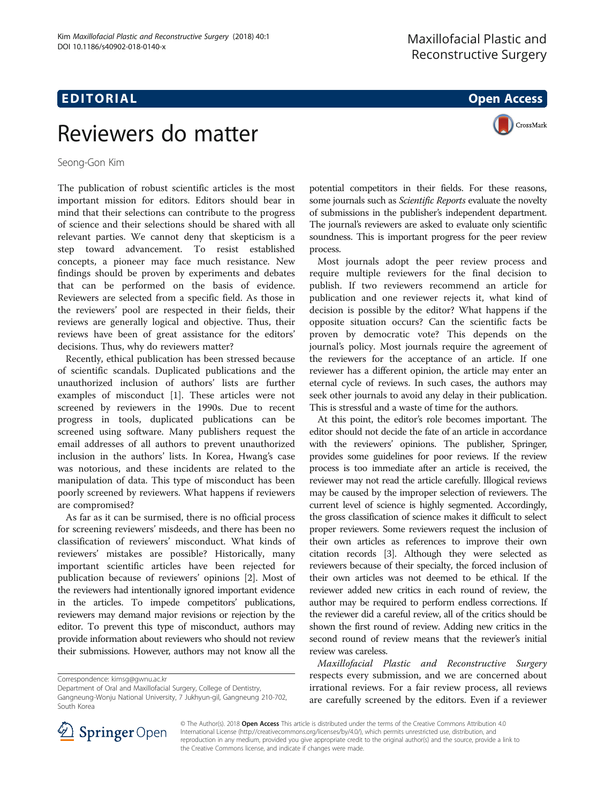CrossMark

# EDI TORIA L Open Access

# Reviewers do matter

Seong-Gon Kim

The publication of robust scientific articles is the most important mission for editors. Editors should bear in mind that their selections can contribute to the progress of science and their selections should be shared with all relevant parties. We cannot deny that skepticism is a step toward advancement. To resist established concepts, a pioneer may face much resistance. New findings should be proven by experiments and debates that can be performed on the basis of evidence. Reviewers are selected from a specific field. As those in the reviewers' pool are respected in their fields, their reviews are generally logical and objective. Thus, their reviews have been of great assistance for the editors' decisions. Thus, why do reviewers matter?

Recently, ethical publication has been stressed because of scientific scandals. Duplicated publications and the unauthorized inclusion of authors' lists are further examples of misconduct [[1\]](#page-1-0). These articles were not screened by reviewers in the 1990s. Due to recent progress in tools, duplicated publications can be screened using software. Many publishers request the email addresses of all authors to prevent unauthorized inclusion in the authors' lists. In Korea, Hwang's case was notorious, and these incidents are related to the manipulation of data. This type of misconduct has been poorly screened by reviewers. What happens if reviewers are compromised?

As far as it can be surmised, there is no official process for screening reviewers' misdeeds, and there has been no classification of reviewers' misconduct. What kinds of reviewers' mistakes are possible? Historically, many important scientific articles have been rejected for publication because of reviewers' opinions [[2\]](#page-1-0). Most of the reviewers had intentionally ignored important evidence in the articles. To impede competitors' publications, reviewers may demand major revisions or rejection by the editor. To prevent this type of misconduct, authors may provide information about reviewers who should not review their submissions. However, authors may not know all the



Most journals adopt the peer review process and require multiple reviewers for the final decision to publish. If two reviewers recommend an article for publication and one reviewer rejects it, what kind of decision is possible by the editor? What happens if the opposite situation occurs? Can the scientific facts be proven by democratic vote? This depends on the journal's policy. Most journals require the agreement of the reviewers for the acceptance of an article. If one reviewer has a different opinion, the article may enter an eternal cycle of reviews. In such cases, the authors may seek other journals to avoid any delay in their publication. This is stressful and a waste of time for the authors.

At this point, the editor's role becomes important. The editor should not decide the fate of an article in accordance with the reviewers' opinions. The publisher, Springer, provides some guidelines for poor reviews. If the review process is too immediate after an article is received, the reviewer may not read the article carefully. Illogical reviews may be caused by the improper selection of reviewers. The current level of science is highly segmented. Accordingly, the gross classification of science makes it difficult to select proper reviewers. Some reviewers request the inclusion of their own articles as references to improve their own citation records [[3\]](#page-1-0). Although they were selected as reviewers because of their specialty, the forced inclusion of their own articles was not deemed to be ethical. If the reviewer added new critics in each round of review, the author may be required to perform endless corrections. If the reviewer did a careful review, all of the critics should be shown the first round of review. Adding new critics in the second round of review means that the reviewer's initial review was careless.

Maxillofacial Plastic and Reconstructive Surgery respects every submission, and we are concerned about irrational reviews. For a fair review process, all reviews are carefully screened by the editors. Even if a reviewer



© The Author(s). 2018 Open Access This article is distributed under the terms of the Creative Commons Attribution 4.0 International License ([http://creativecommons.org/licenses/by/4.0/\)](http://creativecommons.org/licenses/by/4.0/), which permits unrestricted use, distribution, and reproduction in any medium, provided you give appropriate credit to the original author(s) and the source, provide a link to the Creative Commons license, and indicate if changes were made.

Correspondence: [kimsg@gwnu.ac.kr](mailto:kimsg@gwnu.ac.kr)

Department of Oral and Maxillofacial Surgery, College of Dentistry, Gangneung-Wonju National University, 7 Jukhyun-gil, Gangneung 210-702, South Korea